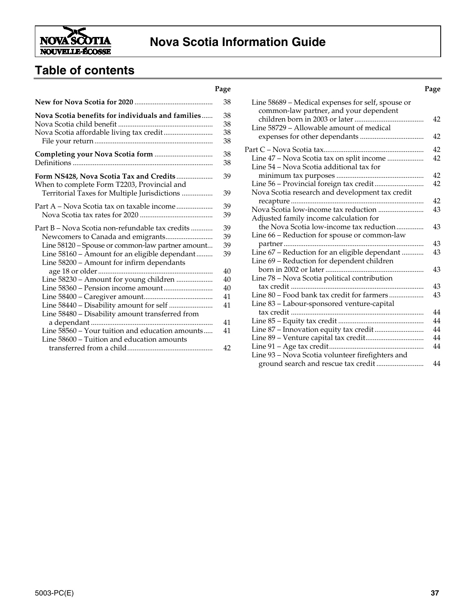

## **Nova Scotia Information Guide**

## **Table of contents**

|                                                                                            | . սթա |
|--------------------------------------------------------------------------------------------|-------|
|                                                                                            | 38    |
| Nova Scotia benefits for individuals and families                                          | 38    |
|                                                                                            | 38    |
|                                                                                            | 38    |
|                                                                                            | 38    |
|                                                                                            | 38    |
|                                                                                            | 38    |
| Form NS428, Nova Scotia Tax and Credits<br>When to complete Form T2203, Provincial and     | 39    |
| Territorial Taxes for Multiple Jurisdictions                                               | 39    |
| Part A – Nova Scotia tax on taxable income                                                 | 39    |
|                                                                                            | 39    |
| Part B – Nova Scotia non-refundable tax credits                                            | 39    |
| Newcomers to Canada and emigrants                                                          | 39    |
| Line 58120 - Spouse or common-law partner amount                                           | 39    |
| Line 58160 - Amount for an eligible dependant<br>Line 58200 - Amount for infirm dependants | 39    |
|                                                                                            | 40    |
| Line 58230 - Amount for young children                                                     | 40    |
|                                                                                            | 40    |
|                                                                                            | 41    |
|                                                                                            | 41    |
| Line 58480 - Disability amount transferred from                                            |       |
|                                                                                            | 41    |
| Line 58560 - Your tuition and education amounts                                            | 41    |
| Line 58600 – Tuition and education amounts                                                 |       |
|                                                                                            | 42    |

#### **Page Page** Line 58689 – Medical expenses for self, spouse or common-law partner, and your dependent children born in 2003 or later...................................... 42 Line 58729 – Allowable amount of medical expenses for other dependants ................................... 42 Part C – Nova Scotia tax....................................................... 42 Line 47 – Nova Scotia tax on split income .................... 42 Line 54 – Nova Scotia additional tax for minimum tax purposes ................................................ 42 Line 56 – Provincial foreign tax credit........................... 42 Nova Scotia research and development tax credit recapture ......................................................................... 42 Nova Scotia low-income tax reduction ......................... 43 Adjusted family income calculation for the Nova Scotia low-income tax reduction............... 43 Line 66 – Reduction for spouse or common-law partner............................................................................. 43 Line 67 – Reduction for an eligible dependant ............ 43 Line 69 – Reduction for dependent children born in 2002 or later...................................................... 43 Line 78 – Nova Scotia political contribution tax credit ......................................................................... 43 Line 80 – Food bank tax credit for farmers ................... 43 Line 83 – Labour-sponsored venture-capital tax credit ......................................................................... 44 Line 85 – Equity tax credit ............................................... 44 Line 87 – Innovation equity tax credit........................... 44 Line 89 – Venture capital tax credit................................ 44 Line 91 – Age tax credit.................................................... 44 Line 93 – Nova Scotia volunteer firefighters and

ground search and rescue tax credit .......................... 44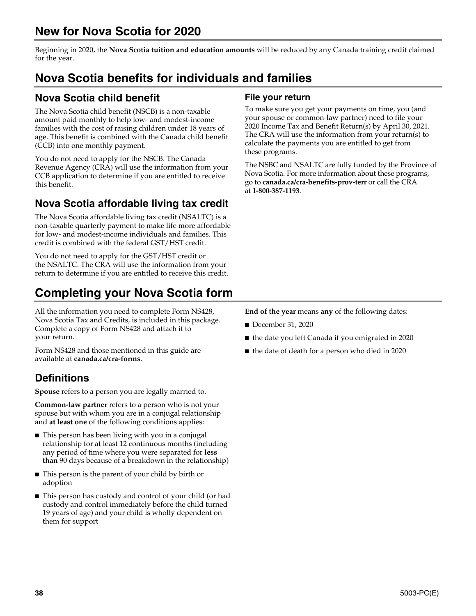# **New for Nova Scotia for 2020**

Beginning in 2020, the **Nova Scotia tuition and education amounts** will be reduced by any Canada training credit claimed for the year.

# **Nova Scotia benefits for individuals and families**

## **Nova Scotia child benefit**

The Nova Scotia child benefit (NSCB) is a non-taxable amount paid monthly to help low- and modest-income families with the cost of raising children under 18 years of age. This benefit is combined with the Canada child benefit (CCB) into one monthly payment.

You do not need to apply for the NSCB. The Canada Revenue Agency (CRA) will use the information from your CCB application to determine if you are entitled to receive this benefit.

## **Nova Scotia affordable living tax credit**

The Nova Scotia affordable living tax credit (NSALTC) is a non-taxable quarterly payment to make life more affordable for low- and modest-income individuals and families. This credit is combined with the federal GST/HST credit.

You do not need to apply for the GST/HST credit or the NSALTC. The CRA will use the information from your return to determine if you are entitled to receive this credit.

# **Completing your Nova Scotia form**

All the information you need to complete Form NS428, Nova Scotia Tax and Credits, is included in this package. Complete a copy of Form NS428 and attach it to your return.

Form NS428 and those mentioned in this guide are available at **canada.ca/cra-forms**.

## **Definitions**

**Spouse** refers to a person you are legally married to.

**Common-law partner** refers to a person who is not your spouse but with whom you are in a conjugal relationship and **at least one** of the following conditions applies:

- This person has been living with you in a conjugal relationship for at least 12 continuous months (including any period of time where you were separated for **less than** 90 days because of a breakdown in the relationship)
- This person is the parent of your child by birth or adoption
- This person has custody and control of your child (or had custody and control immediately before the child turned 19 years of age) and your child is wholly dependent on them for support

## **File your return**

To make sure you get your payments on time, you (and your spouse or common-law partner) need to file your 2020 Income Tax and Benefit Return(s) by April 30, 2021. The CRA will use the information from your return(s) to calculate the payments you are entitled to get from these programs.

The NSBC and NSALTC are fully funded by the Province of Nova Scotia. For more information about these programs, go to **canada.ca/cra-benefits-prov-terr** or call the CRA at **1-800-387-1193**.

**End of the year** means **any** of the following dates:

- December 31, 2020
- the date you left Canada if you emigrated in 2020
- the date of death for a person who died in 2020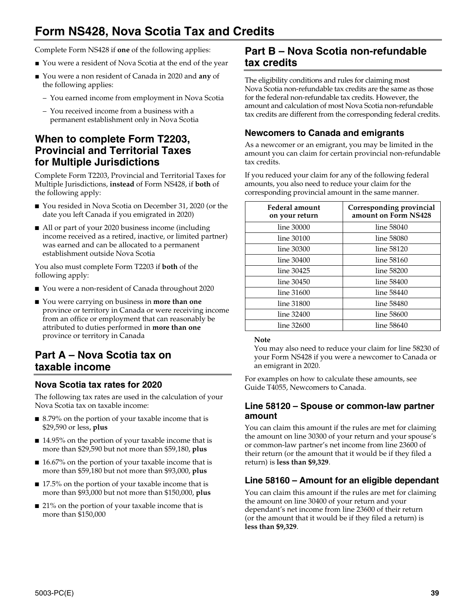## **Form NS428, Nova Scotia Tax and Credits**

Complete Form NS428 if **one** of the following applies:

- You were a resident of Nova Scotia at the end of the year
- You were a non resident of Canada in 2020 and **any** of the following applies:
	- You earned income from employment in Nova Scotia
	- You received income from a business with a permanent establishment only in Nova Scotia

## **When to complete Form T2203, Provincial and Territorial Taxes for Multiple Jurisdictions**

Complete Form T2203, Provincial and Territorial Taxes for Multiple Jurisdictions, **instead** of Form NS428, if **both** of the following apply:

- You resided in Nova Scotia on December 31, 2020 (or the date you left Canada if you emigrated in 2020)
- All or part of your 2020 business income (including income received as a retired, inactive, or limited partner) was earned and can be allocated to a permanent establishment outside Nova Scotia

You also must complete Form T2203 if **both** of the following apply:

- You were a non-resident of Canada throughout 2020
- You were carrying on business in **more than one** province or territory in Canada or were receiving income from an office or employment that can reasonably be attributed to duties performed in **more than one** province or territory in Canada

## **Part A – Nova Scotia tax on taxable income**

## **Nova Scotia tax rates for 2020**

The following tax rates are used in the calculation of your Nova Scotia tax on taxable income:

- 8.79% on the portion of your taxable income that is \$29,590 or less, **plus**
- 14.95% on the portion of your taxable income that is more than \$29,590 but not more than \$59,180, **plus**
- 16.67% on the portion of your taxable income that is more than \$59,180 but not more than \$93,000, **plus**
- 17.5% on the portion of your taxable income that is more than \$93,000 but not more than \$150,000, **plus**
- 21% on the portion of your taxable income that is more than \$150,000

## **Part B – Nova Scotia non-refundable tax credits**

The eligibility conditions and rules for claiming most Nova Scotia non-refundable tax credits are the same as those for the federal non-refundable tax credits. However, the amount and calculation of most Nova Scotia non-refundable tax credits are different from the corresponding federal credits.

## **Newcomers to Canada and emigrants**

As a newcomer or an emigrant, you may be limited in the amount you can claim for certain provincial non-refundable tax credits.

If you reduced your claim for any of the following federal amounts, you also need to reduce your claim for the corresponding provincial amount in the same manner.

| Federal amount<br>on your return | Corresponding provincial<br>amount on Form NS428 |
|----------------------------------|--------------------------------------------------|
| line 30000                       | line 58040                                       |
| line 30100                       | line 58080                                       |
| line 30300                       | line 58120                                       |
| line 30400                       | line 58160                                       |
| line 30425                       | line 58200                                       |
| line 30450                       | line 58400                                       |
| line 31600                       | line 58440                                       |
| line 31800                       | line 58480                                       |
| line 32400                       | line 58600                                       |
| line 32600                       | line 58640                                       |

### **Note**

You may also need to reduce your claim for line 58230 of your Form NS428 if you were a newcomer to Canada or an emigrant in 2020.

For examples on how to calculate these amounts, see Guide T4055, Newcomers to Canada.

## **Line 58120 – Spouse or common-law partner amount**

You can claim this amount if the rules are met for claiming the amount on line 30300 of your return and your spouse's or common-law partner's net income from line 23600 of their return (or the amount that it would be if they filed a return) is **less than \$9,329**.

## **Line 58160 – Amount for an eligible dependant**

You can claim this amount if the rules are met for claiming the amount on line 30400 of your return and your dependant's net income from line 23600 of their return (or the amount that it would be if they filed a return) is **less than \$9,329**.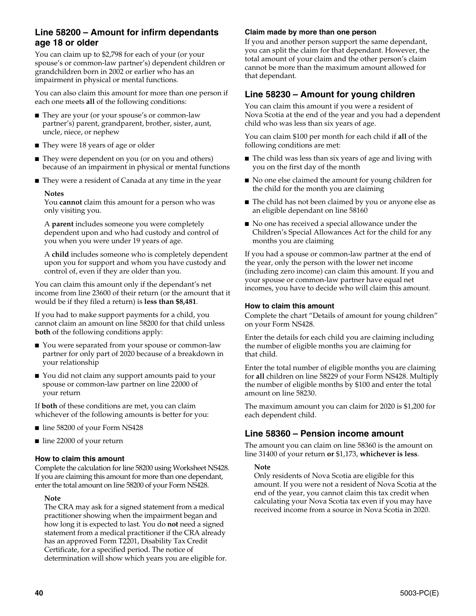## **Line 58200 – Amount for infirm dependants age 18 or older**

You can claim up to \$2,798 for each of your (or your spouse's or common-law partner's) dependent children or grandchildren born in 2002 or earlier who has an impairment in physical or mental functions.

You can also claim this amount for more than one person if each one meets **all** of the following conditions:

- They are your (or your spouse's or common-law partner's) parent, grandparent, brother, sister, aunt, uncle, niece, or nephew
- They were 18 years of age or older
- They were dependent on you (or on you and others) because of an impairment in physical or mental functions
- They were a resident of Canada at any time in the year

#### **Notes**

You **cannot** claim this amount for a person who was only visiting you.

A **parent** includes someone you were completely dependent upon and who had custody and control of you when you were under 19 years of age.

A **child** includes someone who is completely dependent upon you for support and whom you have custody and control of, even if they are older than you.

You can claim this amount only if the dependant's net income from line 23600 of their return (or the amount that it would be if they filed a return) is **less than \$8,481**.

If you had to make support payments for a child, you cannot claim an amount on line 58200 for that child unless **both** of the following conditions apply:

- You were separated from your spouse or common-law partner for only part of 2020 because of a breakdown in your relationship
- You did not claim any support amounts paid to your spouse or common-law partner on line 22000 of your return

If **both** of these conditions are met, you can claim whichever of the following amounts is better for you:

- line 58200 of your Form NS428
- line 22000 of your return

### **How to claim this amount**

Complete the calculation for line 58200 using Worksheet NS428. If you are claiming this amount for more than one dependant, enter the total amount on line 58200 of your Form NS428.

#### **Note**

The CRA may ask for a signed statement from a medical practitioner showing when the impairment began and how long it is expected to last. You do **not** need a signed statement from a medical practitioner if the CRA already has an approved Form T2201, Disability Tax Credit Certificate, for a specified period. The notice of determination will show which years you are eligible for.

#### **Claim made by more than one person**

If you and another person support the same dependant, you can split the claim for that dependant. However, the total amount of your claim and the other person's claim cannot be more than the maximum amount allowed for that dependant.

## **Line 58230 – Amount for young children**

You can claim this amount if you were a resident of Nova Scotia at the end of the year and you had a dependent child who was less than six years of age.

You can claim \$100 per month for each child if **all** of the following conditions are met:

- The child was less than six years of age and living with you on the first day of the month
- No one else claimed the amount for young children for the child for the month you are claiming
- The child has not been claimed by you or anyone else as an eligible dependant on line 58160
- No one has received a special allowance under the Children's Special Allowances Act for the child for any months you are claiming

If you had a spouse or common-law partner at the end of the year, only the person with the lower net income (including zero income) can claim this amount. If you and your spouse or common-law partner have equal net incomes, you have to decide who will claim this amount.

#### **How to claim this amount**

Complete the chart "Details of amount for young children" on your Form NS428.

Enter the details for each child you are claiming including the number of eligible months you are claiming for that child.

Enter the total number of eligible months you are claiming for **all** children on line 58229 of your Form NS428. Multiply the number of eligible months by \$100 and enter the total amount on line 58230.

The maximum amount you can claim for 2020 is \$1,200 for each dependent child.

## **Line 58360 – Pension income amount**

The amount you can claim on line 58360 is the amount on line 31400 of your return **or** \$1,173, **whichever is less**.

### **Note**

Only residents of Nova Scotia are eligible for this amount. If you were not a resident of Nova Scotia at the end of the year, you cannot claim this tax credit when calculating your Nova Scotia tax even if you may have received income from a source in Nova Scotia in 2020.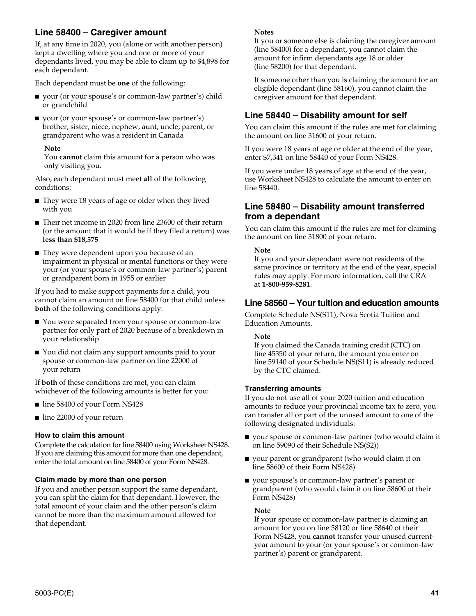## **Line 58400 – Caregiver amount**

If, at any time in 2020, you (alone or with another person) kept a dwelling where you and one or more of your dependants lived, you may be able to claim up to \$4,898 for each dependant.

Each dependant must be **one** of the following:

- your (or your spouse's or common-law partner's) child or grandchild
- your (or your spouse's or common-law partner's) brother, sister, niece, nephew, aunt, uncle, parent, or grandparent who was a resident in Canada

#### **Note**

You **cannot** claim this amount for a person who was only visiting you.

Also, each dependant must meet **all** of the following conditions:

- They were 18 years of age or older when they lived with you
- Their net income in 2020 from line 23600 of their return (or the amount that it would be if they filed a return) was **less than \$18,575**
- They were dependent upon you because of an impairment in physical or mental functions or they were your (or your spouse's or common-law partner's) parent or grandparent born in 1955 or earlier

If you had to make support payments for a child, you cannot claim an amount on line 58400 for that child unless **both** of the following conditions apply:

- You were separated from your spouse or common-law partner for only part of 2020 because of a breakdown in your relationship
- You did not claim any support amounts paid to your spouse or common-law partner on line 22000 of your return

If **both** of these conditions are met, you can claim whichever of the following amounts is better for you:

- line 58400 of your Form NS428
- line 22000 of your return

### **How to claim this amount**

Complete the calculation for line 58400 using Worksheet NS428. If you are claiming this amount for more than one dependant, enter the total amount on line 58400 of your Form NS428.

### **Claim made by more than one person**

If you and another person support the same dependant, you can split the claim for that dependant. However, the total amount of your claim and the other person's claim cannot be more than the maximum amount allowed for that dependant.

#### **Notes**

If you or someone else is claiming the caregiver amount (line 58400) for a dependant, you cannot claim the amount for infirm dependants age 18 or older (line 58200) for that dependant.

If someone other than you is claiming the amount for an eligible dependant (line 58160), you cannot claim the caregiver amount for that dependant.

## **Line 58440 – Disability amount for self**

You can claim this amount if the rules are met for claiming the amount on line 31600 of your return.

If you were 18 years of age or older at the end of the year, enter \$7,341 on line 58440 of your Form NS428.

If you were under 18 years of age at the end of the year, use Worksheet NS428 to calculate the amount to enter on line 58440.

## **Line 58480 – Disability amount transferred from a dependant**

You can claim this amount if the rules are met for claiming the amount on line 31800 of your return.

**Note**

If you and your dependant were not residents of the same province or territory at the end of the year, special rules may apply. For more information, call the CRA at **1-800-959-8281**.

## **Line 58560 – Your tuition and education amounts**

Complete Schedule NS(S11), Nova Scotia Tuition and Education Amounts.

### **Note**

If you claimed the Canada training credit (CTC) on line 45350 of your return, the amount you enter on line 59140 of your Schedule NS(S11) is already reduced by the CTC claimed.

#### **Transferring amounts**

If you do not use all of your 2020 tuition and education amounts to reduce your provincial income tax to zero, you can transfer all or part of the unused amount to one of the following designated individuals:

- your spouse or common-law partner (who would claim it on line 59090 of their Schedule NS(S2))
- your parent or grandparent (who would claim it on line 58600 of their Form NS428)
- your spouse's or common-law partner's parent or grandparent (who would claim it on line 58600 of their Form NS428)

#### **Note**

If your spouse or common-law partner is claiming an amount for you on line 58120 or line 58640 of their Form NS428, you **cannot** transfer your unused currentyear amount to your (or your spouse's or common-law partner's) parent or grandparent.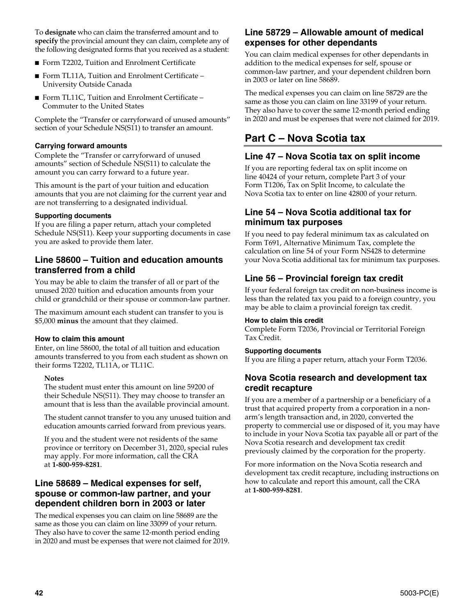To **designate** who can claim the transferred amount and to **specify** the provincial amount they can claim, complete any of the following designated forms that you received as a student:

- Form T2202, Tuition and Enrolment Certificate
- Form TL11A, Tuition and Enrolment Certificate University Outside Canada
- Form TL11C, Tuition and Enrolment Certificate Commuter to the United States

Complete the "Transfer or carryforward of unused amounts" section of your Schedule NS(S11) to transfer an amount.

### **Carrying forward amounts**

Complete the "Transfer or carryforward of unused amounts" section of Schedule NS(S11) to calculate the amount you can carry forward to a future year.

This amount is the part of your tuition and education amounts that you are not claiming for the current year and are not transferring to a designated individual.

#### **Supporting documents**

If you are filing a paper return, attach your completed Schedule NS(S11). Keep your supporting documents in case you are asked to provide them later.

## **Line 58600 – Tuition and education amounts transferred from a child**

You may be able to claim the transfer of all or part of the unused 2020 tuition and education amounts from your child or grandchild or their spouse or common-law partner.

The maximum amount each student can transfer to you is \$5,000 **minus** the amount that they claimed.

### **How to claim this amount**

Enter, on line 58600, the total of all tuition and education amounts transferred to you from each student as shown on their forms T2202, TL11A, or TL11C.

#### **Notes**

The student must enter this amount on line 59200 of their Schedule NS(S11). They may choose to transfer an amount that is less than the available provincial amount.

The student cannot transfer to you any unused tuition and education amounts carried forward from previous years.

If you and the student were not residents of the same province or territory on December 31, 2020, special rules may apply. For more information, call the CRA at **1-800-959-8281**.

## **Line 58689 – Medical expenses for self, spouse or common-law partner, and your dependent children born in 2003 or later**

The medical expenses you can claim on line 58689 are the same as those you can claim on line 33099 of your return. They also have to cover the same 12-month period ending in 2020 and must be expenses that were not claimed for 2019.

## **Line 58729 – Allowable amount of medical expenses for other dependants**

You can claim medical expenses for other dependants in addition to the medical expenses for self, spouse or common-law partner, and your dependent children born in 2003 or later on line 58689.

The medical expenses you can claim on line 58729 are the same as those you can claim on line 33199 of your return. They also have to cover the same 12-month period ending in 2020 and must be expenses that were not claimed for 2019.

## **Part C – Nova Scotia tax**

## **Line 47 – Nova Scotia tax on split income**

If you are reporting federal tax on split income on line 40424 of your return, complete Part 3 of your Form T1206, Tax on Split Income, to calculate the Nova Scotia tax to enter on line 42800 of your return.

## **Line 54 – Nova Scotia additional tax for minimum tax purposes**

If you need to pay federal minimum tax as calculated on Form T691, Alternative Minimum Tax, complete the calculation on line 54 of your Form NS428 to determine your Nova Scotia additional tax for minimum tax purposes.

## **Line 56 – Provincial foreign tax credit**

If your federal foreign tax credit on non-business income is less than the related tax you paid to a foreign country, you may be able to claim a provincial foreign tax credit.

#### **How to claim this credit**

Complete Form T2036, Provincial or Territorial Foreign Tax Credit.

### **Supporting documents**

If you are filing a paper return, attach your Form T2036.

## **Nova Scotia research and development tax credit recapture**

If you are a member of a partnership or a beneficiary of a trust that acquired property from a corporation in a nonarm's length transaction and, in 2020, converted the property to commercial use or disposed of it, you may have to include in your Nova Scotia tax payable all or part of the Nova Scotia research and development tax credit previously claimed by the corporation for the property.

For more information on the Nova Scotia research and development tax credit recapture, including instructions on how to calculate and report this amount, call the CRA at **1-800-959-8281**.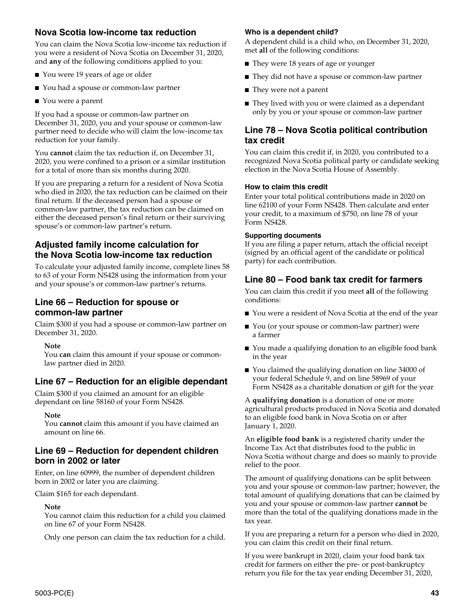## **Nova Scotia low-income tax reduction**

You can claim the Nova Scotia low-income tax reduction if you were a resident of Nova Scotia on December 31, 2020, and **any** of the following conditions applied to you:

- You were 19 years of age or older
- You had a spouse or common-law partner
- You were a parent

If you had a spouse or common-law partner on December 31, 2020, you and your spouse or common-law partner need to decide who will claim the low-income tax reduction for your family.

You **cannot** claim the tax reduction if, on December 31, 2020, you were confined to a prison or a similar institution for a total of more than six months during 2020.

If you are preparing a return for a resident of Nova Scotia who died in 2020, the tax reduction can be claimed on their final return. If the deceased person had a spouse or common-law partner, the tax reduction can be claimed on either the deceased person's final return or their surviving spouse's or common-law partner's return.

## **Adjusted family income calculation for the Nova Scotia low-income tax reduction**

To calculate your adjusted family income, complete lines 58 to 63 of your Form NS428 using the information from your and your spouse's or common-law partner's returns.

## **Line 66 – Reduction for spouse or common-law partner**

Claim \$300 if you had a spouse or common-law partner on December 31, 2020.

#### **Note**

You **can** claim this amount if your spouse or commonlaw partner died in 2020.

## **Line 67 – Reduction for an eligible dependant**

Claim \$300 if you claimed an amount for an eligible dependant on line 58160 of your Form NS428.

#### **Note**

You **cannot** claim this amount if you have claimed an amount on line 66.

### **Line 69 – Reduction for dependent children born in 2002 or later**

Enter, on line 60999, the number of dependent children born in 2002 or later you are claiming.

Claim \$165 for each dependant.

### **Note**

You cannot claim this reduction for a child you claimed on line 67 of your Form NS428.

Only one person can claim the tax reduction for a child.

### **Who is a dependent child?**

A dependent child is a child who, on December 31, 2020, met **all** of the following conditions:

- They were 18 years of age or younger
- They did not have a spouse or common-law partner
- They were not a parent
- They lived with you or were claimed as a dependant only by you or your spouse or common-law partner

## **Line 78 – Nova Scotia political contribution tax credit**

You can claim this credit if, in 2020, you contributed to a recognized Nova Scotia political party or candidate seeking election in the Nova Scotia House of Assembly.

#### **How to claim this credit**

Enter your total political contributions made in 2020 on line 62100 of your Form NS428. Then calculate and enter your credit, to a maximum of \$750, on line 78 of your Form NS428.

#### **Supporting documents**

If you are filing a paper return, attach the official receipt (signed by an official agent of the candidate or political party) for each contribution.

## **Line 80 – Food bank tax credit for farmers**

You can claim this credit if you meet **all** of the following conditions:

- You were a resident of Nova Scotia at the end of the year
- You (or your spouse or common-law partner) were a farmer
- You made a qualifying donation to an eligible food bank in the year
- You claimed the qualifying donation on line 34000 of your federal Schedule 9, and on line 58969 of your Form NS428 as a charitable donation or gift for the year

A **qualifying donation** is a donation of one or more agricultural products produced in Nova Scotia and donated to an eligible food bank in Nova Scotia on or after January 1, 2020.

An **eligible food bank** is a registered charity under the Income Tax Act that distributes food to the public in Nova Scotia without charge and does so mainly to provide relief to the poor.

The amount of qualifying donations can be split between you and your spouse or common-law partner; however, the total amount of qualifying donations that can be claimed by you and your spouse or common-law partner **cannot** be more than the total of the qualifying donations made in the tax year.

If you are preparing a return for a person who died in 2020, you can claim this credit on their final return.

If you were bankrupt in 2020, claim your food bank tax credit for farmers on either the pre- or post-bankruptcy return you file for the tax year ending December 31, 2020,